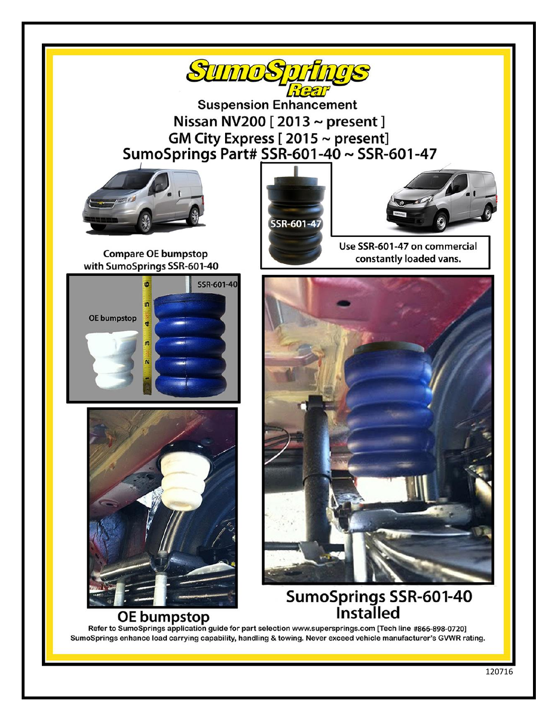

**Suspension Enhancement** Nissan NV200  $[2013 \sim present]$ GM City Express [2015 ~ present] SumoSprings Part# SSR-601-40 ~ SSR-601-47



**Compare OE bumpstop** 

SSR-601-40

with SumoSprings SSR-601-40

ø

m

OE bumpstop

SSR-601-47



Use SSR-601-47 on commercial constantly loaded vans.



# SumoSprings SSR-601-40 **Installed**

**OE bumpstop** Refer to SumoSprings application guide for part selection www.supersprings.com [Tech line #866-898-0720] SumoSprings enhance load carrying capability, handling & towing. Never exceed vehicle manufacturer's GVWR rating.